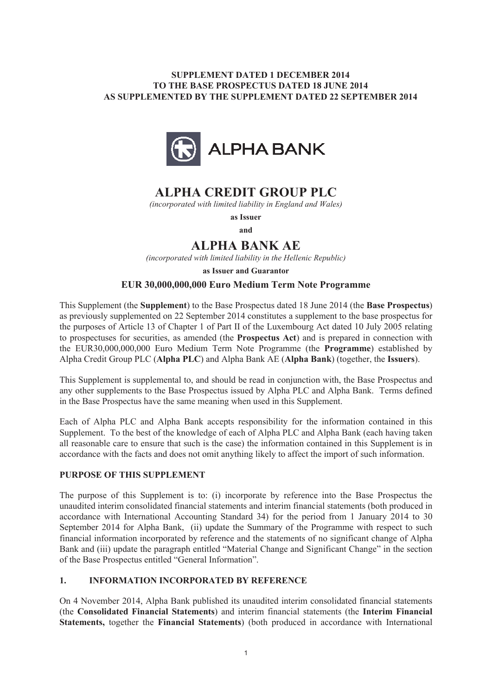## **SUPPLEMENT DATED 1 DECEMBER 2014 TO THE BASE PROSPECTUS DATED 18 JUNE 2014 AS SUPPLEMENTED BY THE SUPPLEMENT DATED 22 SEPTEMBER 2014**



# **ALPHA CREDIT GROUP PLC**

*(incorporated with limited liability in England and Wales)*

**as Issuer**

**and**

# **ALPHA BANK AE**

*(incorporated with limited liability in the Hellenic Republic)*

**as Issuer and Guarantor**

### **EUR 30,000,000,000 Euro Medium Term Note Programme**

This Supplement (the **Supplement**) to the Base Prospectus dated 18 June 2014 (the **Base Prospectus**) as previously supplemented on 22 September 2014 constitutes a supplement to the base prospectus for the purposes of Article 13 of Chapter 1 of Part II of the Luxembourg Act dated 10 July 2005 relating to prospectuses for securities, as amended (the **Prospectus Act**) and is prepared in connection with the EUR30,000,000,000 Euro Medium Term Note Programme (the **Programme**) established by Alpha Credit Group PLC (**Alpha PLC**) and Alpha Bank AE (**Alpha Bank**) (together, the **Issuers**).

This Supplement is supplemental to, and should be read in conjunction with, the Base Prospectus and any other supplements to the Base Prospectus issued by Alpha PLC and Alpha Bank. Terms defined in the Base Prospectus have the same meaning when used in this Supplement.

Each of Alpha PLC and Alpha Bank accepts responsibility for the information contained in this Supplement. To the best of the knowledge of each of Alpha PLC and Alpha Bank (each having taken all reasonable care to ensure that such is the case) the information contained in this Supplement is in accordance with the facts and does not omit anything likely to affect the import of such information.

### **PURPOSE OF THIS SUPPLEMENT**

The purpose of this Supplement is to: (i) incorporate by reference into the Base Prospectus the unaudited interim consolidated financial statements and interim financial statements (both produced in accordance with International Accounting Standard 34) for the period from 1 January 2014 to 30 September 2014 for Alpha Bank, (ii) update the Summary of the Programme with respect to such financial information incorporated by reference and the statements of no significant change of Alpha Bank and (iii) update the paragraph entitled "Material Change and Significant Change" in the section of the Base Prospectus entitled "General Information".

### **1. INFORMATION INCORPORATED BY REFERENCE**

On 4 November 2014, Alpha Bank published its unaudited interim consolidated financial statements (the **Consolidated Financial Statements**) and interim financial statements (the **Interim Financial Statements,** together the **Financial Statements**) (both produced in accordance with International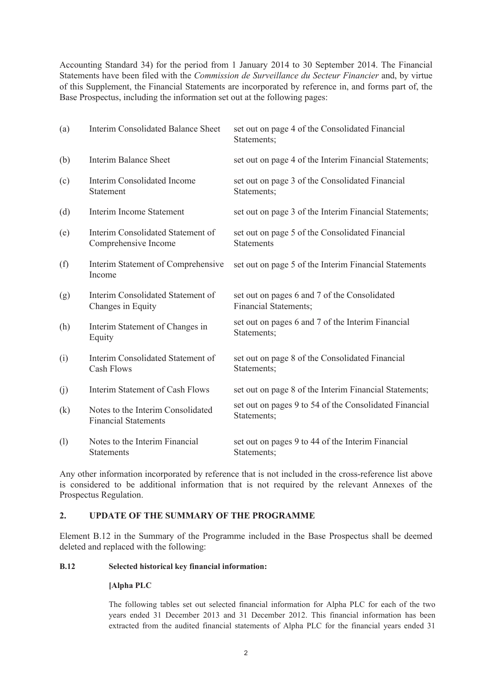Accounting Standard 34) for the period from 1 January 2014 to 30 September 2014. The Financial Statements have been filed with the *Commission de Surveillance du Secteur Financier* and, by virtue of this Supplement, the Financial Statements are incorporated by reference in, and forms part of, the Base Prospectus, including the information set out at the following pages:

| (a)                        | Interim Consolidated Balance Sheet                               | set out on page 4 of the Consolidated Financial<br>Statements;        |
|----------------------------|------------------------------------------------------------------|-----------------------------------------------------------------------|
| (b)                        | <b>Interim Balance Sheet</b>                                     | set out on page 4 of the Interim Financial Statements;                |
| (c)                        | Interim Consolidated Income<br>Statement                         | set out on page 3 of the Consolidated Financial<br>Statements;        |
| (d)                        | Interim Income Statement                                         | set out on page 3 of the Interim Financial Statements;                |
| (e)                        | Interim Consolidated Statement of<br>Comprehensive Income        | set out on page 5 of the Consolidated Financial<br><b>Statements</b>  |
| (f)                        | Interim Statement of Comprehensive<br>Income                     | set out on page 5 of the Interim Financial Statements                 |
| (g)                        | Interim Consolidated Statement of<br>Changes in Equity           | set out on pages 6 and 7 of the Consolidated<br>Financial Statements; |
| (h)                        | Interim Statement of Changes in<br>Equity                        | set out on pages 6 and 7 of the Interim Financial<br>Statements;      |
| (i)                        | Interim Consolidated Statement of<br><b>Cash Flows</b>           | set out on page 8 of the Consolidated Financial<br>Statements;        |
| (j)                        | Interim Statement of Cash Flows                                  | set out on page 8 of the Interim Financial Statements;                |
| $\left( \mathrm{k}\right)$ | Notes to the Interim Consolidated<br><b>Financial Statements</b> | set out on pages 9 to 54 of the Consolidated Financial<br>Statements; |
| (1)                        | Notes to the Interim Financial<br><b>Statements</b>              | set out on pages 9 to 44 of the Interim Financial<br>Statements;      |

Any other information incorporated by reference that is not included in the cross-reference list above is considered to be additional information that is not required by the relevant Annexes of the Prospectus Regulation.

### **2. UPDATE OF THE SUMMARY OF THE PROGRAMME**

Element B.12 in the Summary of the Programme included in the Base Prospectus shall be deemed deleted and replaced with the following:

### **B.12 Selected historical key financial information:**

### **[Alpha PLC**

The following tables set out selected financial information for Alpha PLC for each of the two years ended 31 December 2013 and 31 December 2012. This financial information has been extracted from the audited financial statements of Alpha PLC for the financial years ended 31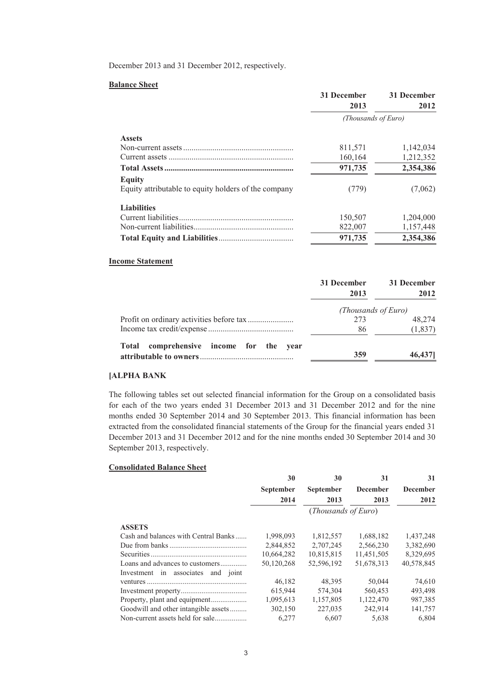December 2013 and 31 December 2012, respectively.

#### **Balance Sheet**

|                                                      | 31 December         | 31 December |  |
|------------------------------------------------------|---------------------|-------------|--|
|                                                      | 2013                | 2012        |  |
|                                                      | (Thousands of Euro) |             |  |
| <b>Assets</b>                                        |                     |             |  |
|                                                      | 811,571             | 1,142,034   |  |
|                                                      | 160,164             | 1,212,352   |  |
|                                                      | 971,735             | 2,354,386   |  |
| <b>Equity</b>                                        |                     |             |  |
| Equity attributable to equity holders of the company | (779)               | (7,062)     |  |
| <b>Liabilities</b>                                   |                     |             |  |
|                                                      | 150,507             | 1,204,000   |  |
|                                                      | 822,007             | 1,157,448   |  |
|                                                      | 971,735             | 2,354,386   |  |

#### **Income Statement**

|                                                   | 31 December<br>2013 | 31 December<br>2012 |
|---------------------------------------------------|---------------------|---------------------|
|                                                   | (Thousands of Euro) |                     |
|                                                   | 273                 | 48.274              |
|                                                   | 86                  | (1, 837)            |
| comprehensive income for the year<br><b>Total</b> |                     |                     |
|                                                   | 359                 | 46,437              |

### **[ALPHA BANK**

The following tables set out selected financial information for the Group on a consolidated basis for each of the two years ended 31 December 2013 and 31 December 2012 and for the nine months ended 30 September 2014 and 30 September 2013. This financial information has been extracted from the consolidated financial statements of the Group for the financial years ended 31 December 2013 and 31 December 2012 and for the nine months ended 30 September 2014 and 30 September 2013, respectively.

#### **Consolidated Balance Sheet**

|                                                                       | 30<br><b>September</b><br>2014 | 30<br><b>September</b><br>2013<br>( <i>Thousands of Euro</i> ) | 31<br><b>December</b><br>2013 | 31<br><b>December</b><br>2012 |
|-----------------------------------------------------------------------|--------------------------------|----------------------------------------------------------------|-------------------------------|-------------------------------|
| <b>ASSETS</b><br>Cash and balances with Central Banks                 | 1,998,093                      | 1,812,557                                                      | 1,688,182                     | 1,437,248                     |
|                                                                       | 2,844,852                      | 2,707,245                                                      | 2,566,230                     | 3,382,690                     |
|                                                                       | 10,664,282                     | 10,815,815                                                     | 11,451,505                    | 8,329,695                     |
| Loans and advances to customers<br>Investment in associates and joint | 50,120,268                     | 52.596.192                                                     | 51,678,313                    | 40,578,845                    |
|                                                                       | 46,182                         | 48,395                                                         | 50,044                        | 74,610                        |
|                                                                       | 615,944                        | 574.304                                                        | 560.453                       | 493,498                       |
|                                                                       | 1,095,613                      | 1,157,805                                                      | 1,122,470                     | 987,385                       |
| Goodwill and other intangible assets                                  | 302,150                        | 227,035                                                        | 242,914                       | 141,757                       |
| Non-current assets held for sale                                      | 6.277                          | 6,607                                                          | 5,638                         | 6,804                         |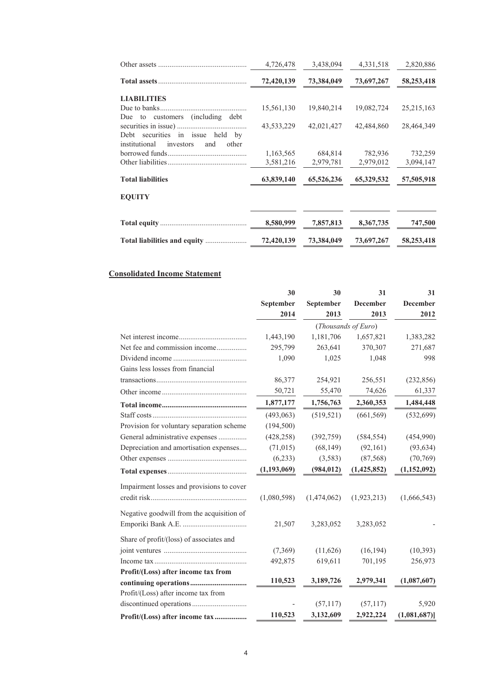| 4,726,478  | 3,438,094  | 4,331,518  | 2,820,886            |
|------------|------------|------------|----------------------|
| 72,420,139 | 73,384,049 | 73,697,267 | 58,253,418           |
|            |            |            |                      |
| 15,561,130 | 19,840,214 | 19,082,724 | 25, 215, 163         |
| 43,533,229 | 42,021,427 | 42,484,860 | 28,464,349           |
|            |            |            |                      |
| 3,581,216  | 2,979,781  | 2,979,012  | 732,259<br>3,094,147 |
| 63,839,140 | 65,526,236 | 65,329,532 | 57,505,918           |
|            |            |            |                      |
| 8,580,999  | 7,857,813  | 8,367,735  | 747,500              |
| 72,420,139 | 73,384,049 | 73,697,267 | 58,253,418           |
|            | 1,163,565  | 684,814    | 782,936              |

### **Consolidated Income Statement**

|                                           | 30            | 30          | 31                  | 31              |
|-------------------------------------------|---------------|-------------|---------------------|-----------------|
|                                           | September     | September   | <b>December</b>     | <b>December</b> |
|                                           | 2014          | 2013        | 2013                | 2012            |
|                                           |               |             | (Thousands of Euro) |                 |
|                                           | 1,443,190     | 1,181,706   | 1,657,821           | 1,383,282       |
| Net fee and commission income             | 295,799       | 263,641     | 370,307             | 271,687         |
|                                           | 1,090         | 1,025       | 1,048               | 998             |
| Gains less losses from financial          |               |             |                     |                 |
|                                           | 86,377        | 254,921     | 256,551             | (232, 856)      |
|                                           | 50,721        | 55,470      | 74,626              | 61,337          |
|                                           | 1,877,177     | 1,756,763   | 2,360,353           | 1,484,448       |
|                                           | (493,063)     | (519, 521)  | (661, 569)          | (532, 699)      |
| Provision for voluntary separation scheme | (194, 500)    |             |                     |                 |
| General administrative expenses           | (428, 258)    | (392,759)   | (584, 554)          | (454,990)       |
| Depreciation and amortisation expenses    | (71, 015)     | (68, 149)   | (92,161)            | (93, 634)       |
|                                           | (6,233)       | (3,583)     | (87, 568)           | (70, 769)       |
|                                           | (1, 193, 069) | (984, 012)  | (1, 425, 852)       | (1,152,092)     |
| Impairment losses and provisions to cover |               |             |                     |                 |
|                                           | (1,080,598)   | (1,474,062) | (1,923,213)         | (1,666,543)     |
|                                           |               |             |                     |                 |
| Negative goodwill from the acquisition of |               |             |                     |                 |
|                                           | 21,507        | 3,283,052   | 3,283,052           |                 |
| Share of profit/(loss) of associates and  |               |             |                     |                 |
|                                           | (7,369)       | (11,626)    | (16, 194)           | (10, 393)       |
|                                           | 492,875       | 619,611     | 701,195             | 256,973         |
| Profit/(Loss) after income tax from       |               |             |                     |                 |
|                                           | 110,523       | 3,189,726   | 2,979,341           | (1,087,607)     |
| Profit/(Loss) after income tax from       |               |             |                     |                 |
|                                           |               | (57, 117)   | (57, 117)           | 5,920           |
| Profit/(Loss) after income tax            | 110,523       | 3,132,609   | 2,922,224           | (1,081,687)     |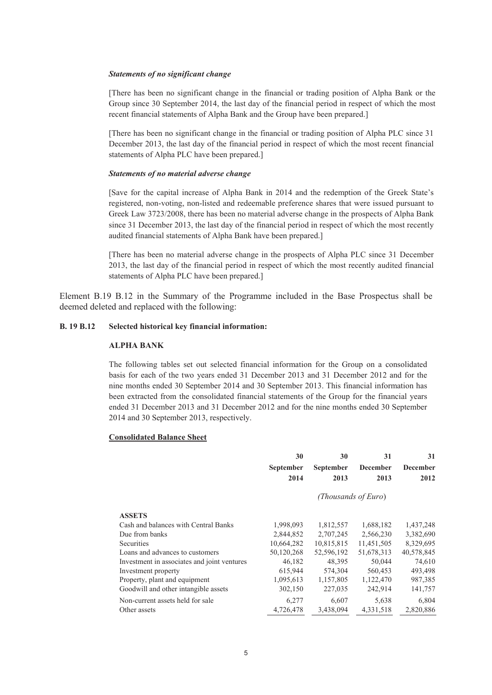#### *Statements of no significant change*

[There has been no significant change in the financial or trading position of Alpha Bank or the Group since 30 September 2014, the last day of the financial period in respect of which the most recent financial statements of Alpha Bank and the Group have been prepared.]

[There has been no significant change in the financial or trading position of Alpha PLC since 31 December 2013, the last day of the financial period in respect of which the most recent financial statements of Alpha PLC have been prepared.]

#### *Statements of no material adverse change*

[Save for the capital increase of Alpha Bank in 2014 and the redemption of the Greek State's registered, non-voting, non-listed and redeemable preference shares that were issued pursuant to Greek Law 3723/2008, there has been no material adverse change in the prospects of Alpha Bank since 31 December 2013, the last day of the financial period in respect of which the most recently audited financial statements of Alpha Bank have been prepared.]

[There has been no material adverse change in the prospects of Alpha PLC since 31 December 2013, the last day of the financial period in respect of which the most recently audited financial statements of Alpha PLC have been prepared.]

Element B.19 B.12 in the Summary of the Programme included in the Base Prospectus shall be deemed deleted and replaced with the following:

#### **B. 19 B.12 Selected historical key financial information:**

#### **ALPHA BANK**

The following tables set out selected financial information for the Group on a consolidated basis for each of the two years ended 31 December 2013 and 31 December 2012 and for the nine months ended 30 September 2014 and 30 September 2013. This financial information has been extracted from the consolidated financial statements of the Group for the financial years ended 31 December 2013 and 31 December 2012 and for the nine months ended 30 September 2014 and 30 September 2013, respectively.

#### **Consolidated Balance Sheet**

|                                             | 30         | 30                  | 31              | 31         |
|---------------------------------------------|------------|---------------------|-----------------|------------|
|                                             | September  | September           | <b>December</b> | December   |
|                                             | 2014       | 2013                | 2013            | 2012       |
|                                             |            | (Thousands of Euro) |                 |            |
| <b>ASSETS</b>                               |            |                     |                 |            |
| Cash and balances with Central Banks        | 1,998,093  | 1,812,557           | 1,688,182       | 1,437,248  |
| Due from banks                              | 2,844,852  | 2,707,245           | 2,566,230       | 3,382,690  |
| Securities                                  | 10,664,282 | 10,815,815          | 11,451,505      | 8,329,695  |
| Loans and advances to customers             | 50,120,268 | 52,596,192          | 51,678,313      | 40,578,845 |
| Investment in associates and joint ventures | 46,182     | 48,395              | 50,044          | 74,610     |
| Investment property                         | 615,944    | 574,304             | 560,453         | 493,498    |
| Property, plant and equipment               | 1,095,613  | 1,157,805           | 1,122,470       | 987,385    |
| Goodwill and other intangible assets        | 302,150    | 227,035             | 242,914         | 141,757    |
| Non-current assets held for sale            | 6,277      | 6,607               | 5,638           | 6,804      |
| Other assets                                | 4,726,478  | 3,438,094           | 4,331,518       | 2,820,886  |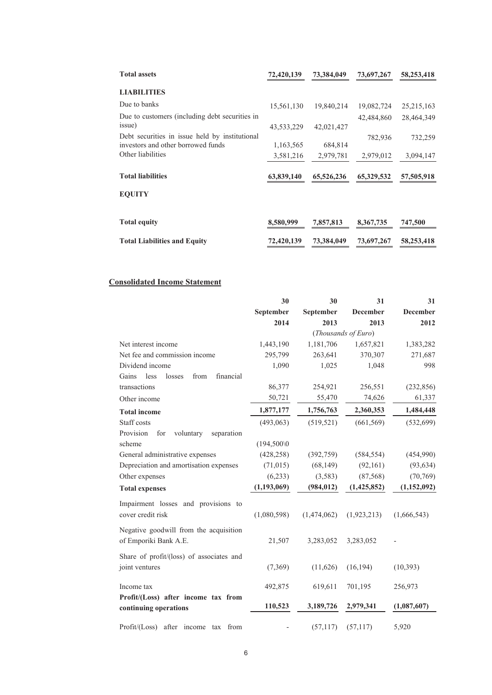| <b>Total assets</b>                                                                  | 72,420,139 | 73,384,049 | 73,697,267 | 58,253,418   |
|--------------------------------------------------------------------------------------|------------|------------|------------|--------------|
| <b>LIABILITIES</b>                                                                   |            |            |            |              |
| Due to banks                                                                         | 15,561,130 | 19,840,214 | 19,082,724 | 25, 215, 163 |
| Due to customers (including debt securities in                                       |            |            | 42,484,860 | 28,464,349   |
| issue)                                                                               | 43,533,229 | 42,021,427 |            |              |
| Debt securities in issue held by institutional<br>investors and other borrowed funds | 1,163,565  | 684,814    | 782,936    | 732,259      |
| Other liabilities                                                                    | 3,581,216  | 2,979,781  | 2,979,012  | 3,094,147    |
| <b>Total liabilities</b>                                                             | 63,839,140 | 65,526,236 | 65,329,532 | 57,505,918   |
| <b>EOUITY</b>                                                                        |            |            |            |              |
|                                                                                      |            |            |            |              |
| <b>Total equity</b>                                                                  | 8,580,999  | 7,857,813  | 8,367,735  | 747,500      |
| <b>Total Liabilities and Equity</b>                                                  | 72,420,139 | 73,384,049 | 73,697,267 | 58,253,418   |

### **Consolidated Income Statement**

|                                              | 30            | 30          | 31                  | 31          |
|----------------------------------------------|---------------|-------------|---------------------|-------------|
|                                              | September     | September   | <b>December</b>     | December    |
|                                              | 2014          | 2013        | 2013                | 2012        |
|                                              |               |             | (Thousands of Euro) |             |
| Net interest income                          | 1,443,190     | 1,181,706   | 1,657,821           | 1,383,282   |
| Net fee and commission income                | 295,799       | 263,641     | 370,307             | 271,687     |
| Dividend income                              | 1,090         | 1,025       | 1,048               | 998         |
| less<br>losses<br>from<br>financial<br>Gains |               |             |                     |             |
| transactions                                 | 86,377        | 254,921     | 256,551             | (232, 856)  |
| Other income                                 | 50,721        | 55,470      | 74,626              | 61,337      |
| <b>Total income</b>                          | 1,877,177     | 1,756,763   | 2,360,353           | 1,484,448   |
| Staff costs                                  | (493,063)     | (519, 521)  | (661, 569)          | (532, 699)  |
| Provision<br>for<br>voluntary<br>separation  |               |             |                     |             |
| scheme                                       | (194,500)     |             |                     |             |
| General administrative expenses              | (428, 258)    | (392,759)   | (584, 554)          | (454,990)   |
| Depreciation and amortisation expenses       | (71, 015)     | (68, 149)   | (92, 161)           | (93, 634)   |
| Other expenses                               | (6,233)       | (3,583)     | (87, 568)           | (70, 769)   |
| <b>Total expenses</b>                        | (1, 193, 069) | (984, 012)  | (1,425,852)         | (1,152,092) |
| Impairment losses and provisions to          |               |             |                     |             |
| cover credit risk                            | (1,080,598)   | (1,474,062) | (1,923,213)         | (1,666,543) |
| Negative goodwill from the acquisition       |               |             |                     |             |
| of Emporiki Bank A.E.                        | 21,507        | 3,283,052   | 3,283,052           |             |
|                                              |               |             |                     |             |
| Share of profit/(loss) of associates and     |               |             |                     |             |
| joint ventures                               | (7,369)       | (11,626)    | (16, 194)           | (10, 393)   |
| Income tax                                   | 492,875       | 619,611     | 701,195             | 256,973     |
| Profit/(Loss) after income tax from          |               |             |                     |             |
| continuing operations                        | 110,523       | 3,189,726   | 2,979,341           | (1,087,607) |
|                                              |               |             |                     |             |
| Profit/(Loss) after income tax from          |               | (57, 117)   | (57, 117)           | 5,920       |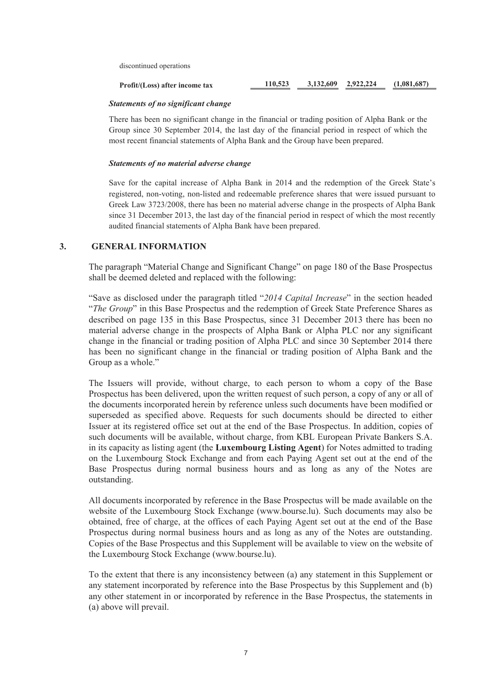discontinued operations

| Profit/(Loss) after income tax | 110,523 | 3,132,609 2,922,224 | (1.081.687) |
|--------------------------------|---------|---------------------|-------------|
|                                |         |                     |             |

#### *Statements of no significant change*

There has been no significant change in the financial or trading position of Alpha Bank or the Group since 30 September 2014, the last day of the financial period in respect of which the most recent financial statements of Alpha Bank and the Group have been prepared.

#### *Statements of no material adverse change*

Save for the capital increase of Alpha Bank in 2014 and the redemption of the Greek State's registered, non-voting, non-listed and redeemable preference shares that were issued pursuant to Greek Law 3723/2008, there has been no material adverse change in the prospects of Alpha Bank since 31 December 2013, the last day of the financial period in respect of which the most recently audited financial statements of Alpha Bank have been prepared.

### **3. GENERAL INFORMATION**

The paragraph "Material Change and Significant Change" on page 180 of the Base Prospectus shall be deemed deleted and replaced with the following:

"Save as disclosed under the paragraph titled "*2014 Capital Increase*" in the section headed "*The Group*" in this Base Prospectus and the redemption of Greek State Preference Shares as described on page 135 in this Base Prospectus, since 31 December 2013 there has been no material adverse change in the prospects of Alpha Bank or Alpha PLC nor any significant change in the financial or trading position of Alpha PLC and since 30 September 2014 there has been no significant change in the financial or trading position of Alpha Bank and the Group as a whole."

The Issuers will provide, without charge, to each person to whom a copy of the Base Prospectus has been delivered, upon the written request of such person, a copy of any or all of the documents incorporated herein by reference unless such documents have been modified or superseded as specified above. Requests for such documents should be directed to either Issuer at its registered office set out at the end of the Base Prospectus. In addition, copies of such documents will be available, without charge, from KBL European Private Bankers S.A. in its capacity as listing agent (the **Luxembourg Listing Agent**) for Notes admitted to trading on the Luxembourg Stock Exchange and from each Paying Agent set out at the end of the Base Prospectus during normal business hours and as long as any of the Notes are outstanding.

All documents incorporated by reference in the Base Prospectus will be made available on the website of the Luxembourg Stock Exchange (www.bourse.lu). Such documents may also be obtained, free of charge, at the offices of each Paying Agent set out at the end of the Base Prospectus during normal business hours and as long as any of the Notes are outstanding. Copies of the Base Prospectus and this Supplement will be available to view on the website of the Luxembourg Stock Exchange (www.bourse.lu).

To the extent that there is any inconsistency between (a) any statement in this Supplement or any statement incorporated by reference into the Base Prospectus by this Supplement and (b) any other statement in or incorporated by reference in the Base Prospectus, the statements in (a) above will prevail.